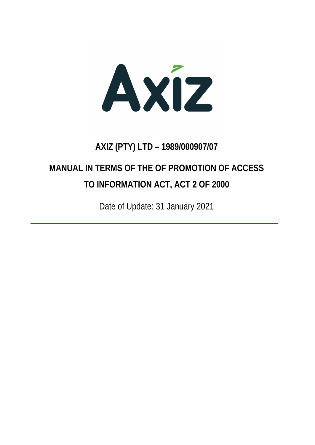Axiz

## **AXIZ (PTY) LTD – 1989/000907/07**

# **MANUAL IN TERMS OF THE OF PROMOTION OF ACCESS TO INFORMATION ACT, ACT 2 OF 2000**

Date of Update: 31 January 2021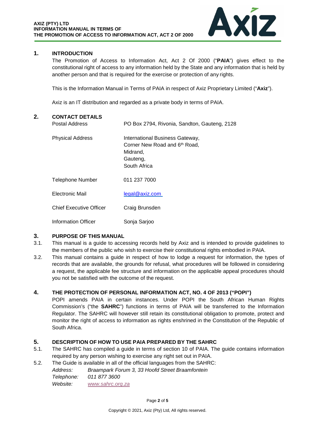

### **1. INTRODUCTION**

The Promotion of Access to Information Act, Act 2 Of 2000 ("**PAIA**") gives effect to the constitutional right of access to any information held by the State and any information that is held by another person and that is required for the exercise or protection of any rights.

This is the Information Manual in Terms of PAIA in respect of Axiz Proprietary Limited ("**Axiz**").

Axiz is an IT distribution and regarded as a private body in terms of PAIA.

| 2. | <b>CONTACT DETAILS</b><br><b>Postal Address</b> | PO Box 2794, Rivonia, Sandton, Gauteng, 2128                                                             |
|----|-------------------------------------------------|----------------------------------------------------------------------------------------------------------|
|    | <b>Physical Address</b>                         | International Business Gateway,<br>Corner New Road and 6th Road,<br>Midrand,<br>Gauteng,<br>South Africa |
|    | <b>Telephone Number</b>                         | 011 237 7000                                                                                             |
|    | Electronic Mail                                 | legal@axiz.com                                                                                           |
|    | <b>Chief Executive Officer</b>                  | Craig Brunsden                                                                                           |
|    | Information Officer                             | Sonja Sarjoo                                                                                             |

#### **3. PURPOSE OF THIS MANUAL**

- 3.1. This manual is a guide to accessing records held by Axiz and is intended to provide guidelines to the members of the public who wish to exercise their constitutional rights embodied in PAIA.
- 3.2. This manual contains a guide in respect of how to lodge a request for information, the types of records that are available, the grounds for refusal, what procedures will be followed in considering a request, the applicable fee structure and information on the applicable appeal procedures should you not be satisfied with the outcome of the request.

#### **4. THE PROTECTION OF PERSONAL INFORMATION ACT, NO. 4 OF 2013 ("POPI")**

POPI amends PAIA in certain instances. Under POPI the South African Human Rights Commission's ("the **SAHRC**") functions in terms of PAIA will be transferred to the Information Regulator. The SAHRC will however still retain its constitutional obligation to promote, protect and monitor the right of access to information as rights enshrined in the Constitution of the Republic of South Africa.

#### **5. DESCRIPTION OF HOW TO USE PAIA PREPARED BY THE SAHRC**

- 5.1. The SAHRC has compiled a guide in terms of section 10 of PAIA. The guide contains information required by any person wishing to exercise any right set out in PAIA.
- 5.2. The Guide is available in all of the official languages from the SAHRC:

*Address: Braampark Forum 3, 33 Hoofd Street Braamfontein Telephone: 011 877 3600 Website: [www.sahrc.org.za](http://www.sahrc.org.za/)*

#### Page **2** of **5**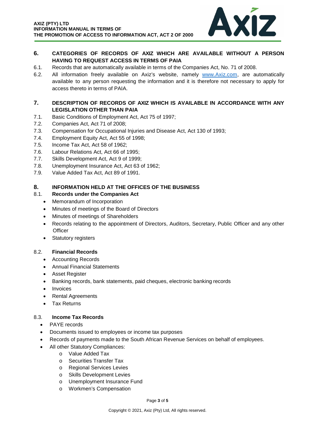

### **6. CATEGORIES OF RECORDS OF AXIZ WHICH ARE AVAILABLE WITHOUT A PERSON HAVING TO REQUEST ACCESS IN TERMS OF PAIA**

- 6.1. Records that are automatically available in terms of the Companies Act, No. 71 of 2008.
- 6.2. All information freely available on Axiz's website, namely www.Axiz.com, are automatically available to any person requesting the information and it is therefore not necessary to apply for access thereto in terms of PAIA.

#### **7. DESCRIPTION OF RECORDS OF AXIZ WHICH IS AVAILABLE IN ACCORDANCE WITH ANY LEGISLATION OTHER THAN PAIA**

- 7.1. Basic Conditions of Employment Act, Act 75 of 1997;
- 7.2. Companies Act, Act 71 of 2008;
- 7.3. Compensation for Occupational Injuries and Disease Act, Act 130 of 1993;
- 7.4. Employment Equity Act, Act 55 of 1998;
- 7.5. Income Tax Act, Act 58 of 1962;
- 7.6. Labour Relations Act, Act 66 of 1995;
- 7.7. Skills Development Act, Act 9 of 1999;
- 7.8. Unemployment Insurance Act, Act 63 of 1962;
- 7.9. Value Added Tax Act, Act 89 of 1991.

#### **8. INFORMATION HELD AT THE OFFICES OF THE BUSINESS**

#### 8.1. **Records under the Companies Act**

- Memorandum of Incorporation
- Minutes of meetings of the Board of Directors
- Minutes of meetings of Shareholders
- Records relating to the appointment of Directors, Auditors, Secretary, Public Officer and any other **Officer**
- Statutory registers

#### 8.2. **Financial Records**

- Accounting Records
- Annual Financial Statements
- Asset Register
- Banking records, bank statements, paid cheques, electronic banking records
- Invoices
- Rental Agreements
- Tax Returns

#### 8.3. **Income Tax Records**

- PAYE records
- Documents issued to employees or income tax purposes
- Records of payments made to the South African Revenue Services on behalf of employees.
- All other Statutory Compliances:
	- o Value Added Tax
	- o Securities Transfer Tax
	- o Regional Services Levies
	- o Skills Development Levies
	- o Unemployment Insurance Fund
	- o Workmen's Compensation

#### Page **3** of **5**

Copyright © 2021, Axiz (Pty) Ltd, All rights reserved.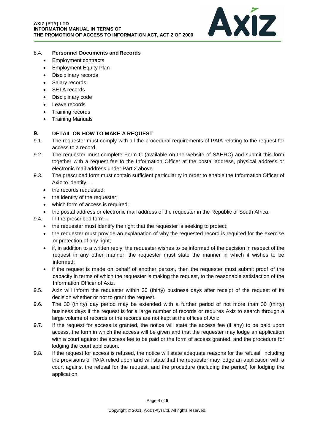

#### 8.4. **Personnel Documents and Records**

- Employment contracts
- Employment Equity Plan
- Disciplinary records
- Salary records
- SETA records
- Disciplinary code
- Leave records
- Training records
- Training Manuals

#### **9. DETAIL ON HOW TO MAKE A REQUEST**

- 9.1. The requester must comply with all the procedural requirements of PAIA relating to the request for access to a record.
- 9.2. The requester must complete Form C (available on the website of SAHRC) and submit this form together with a request fee to the Information Officer at the postal address, physical address or electronic mail address under Part 2 above.
- 9.3. The prescribed form must contain sufficient particularity in order to enable the Information Officer of Axiz to identify –
	- the records requested;
	- the identity of the requester;
	- which form of access is required;
	- the postal address or electronic mail address of the requester in the Republic of South Africa.
- 9.4. In the prescribed form **–**
	- the requester must identify the right that the requester is seeking to protect;
	- the requester must provide an explanation of why the requested record is required for the exercise or protection of any right;
	- if, in addition to a written reply, the requester wishes to be informed of the decision in respect of the request in any other manner, the requester must state the manner in which it wishes to be informed;
	- if the request is made on behalf of another person, then the requester must submit proof of the capacity in terms of which the requester is making the request, to the reasonable satisfaction of the Information Officer of Axiz.
- 9.5. Axiz will inform the requester within 30 (thirty) business days after receipt of the request of its decision whether or not to grant the request.
- 9.6. The 30 (thirty) day period may be extended with a further period of not more than 30 (thirty) business days if the request is for a large number of records or requires Axiz to search through a large volume of records or the records are not kept at the offices of Axiz.
- 9.7. If the request for access is granted, the notice will state the access fee (if any) to be paid upon access, the form in which the access will be given and that the requester may lodge an application with a court against the access fee to be paid or the form of access granted, and the procedure for lodging the court application.
- 9.8. If the request for access is refused, the notice will state adequate reasons for the refusal, including the provisions of PAIA relied upon and will state that the requester may lodge an application with a court against the refusal for the request, and the procedure (including the period) for lodging the application.